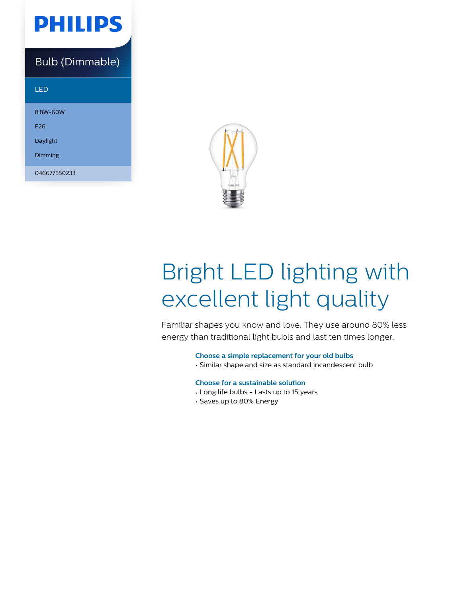

### Bulb (Dimmable)

LED

8.8W-60W E26 Daylight Dimming

046677550233



# Bright LED lighting with excellent light quality

Familiar shapes you know and love. They use around 80% less energy than traditional light bubls and last ten times longer.

**Choose a simple replacement for your old bulbs**

• Similar shape and size as standard incandescent bulb

#### **Choose for a sustainable solution**

- Long life bulbs Lasts up to 15 years
- Saves up to 80% Energy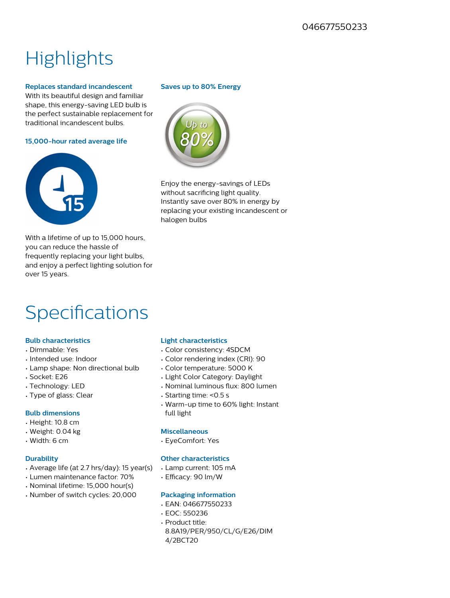## **Highlights**

#### **Replaces standard incandescent**

With its beautiful design and familiar shape, this energy-saving LED bulb is the perfect sustainable replacement for traditional incandescent bulbs.

**15,000-hour rated average life**



With a lifetime of up to 15,000 hours, you can reduce the hassle of frequently replacing your light bulbs, and enjoy a perfect lighting solution for over 15 years.

### Specifications

#### **Bulb characteristics**

- Dimmable: Yes
- Intended use: Indoor
- Lamp shape: Non directional bulb
- Socket: E26
- Technology: LED
- Type of glass: Clear

#### **Bulb dimensions**

- Height: 10.8 cm
- Weight: 0.04 kg
- Width: 6 cm

#### **Durability**

- Average life (at 2.7 hrs/day): 15 year(s)
- Lumen maintenance factor: 70%
- Nominal lifetime: 15,000 hour(s)
- Number of switch cycles: 20,000

#### **Saves up to 80% Energy**



Enjoy the energy-savings of LEDs without sacrificing light quality. Instantly save over 80% in energy by replacing your existing incandescent or halogen bulbs

#### **Light characteristics**

- Color consistency: 4SDCM
- Color rendering index (CRI): 90
- Color temperature: 5000 K
- Light Color Category: Daylight
- Nominal luminous flux: 800 lumen
- Starting time: <0.5 s
- Warm-up time to 60% light: Instant full light

#### **Miscellaneous**

• EyeComfort: Yes

#### **Other characteristics**

- Lamp current: 105 mA
- Efficacy: 90 lm/W

#### **Packaging information**

- EAN: 046677550233
- EOC: 550236
- Product title: 8.8A19/PER/950/CL/G/E26/DIM 4/2BCT20